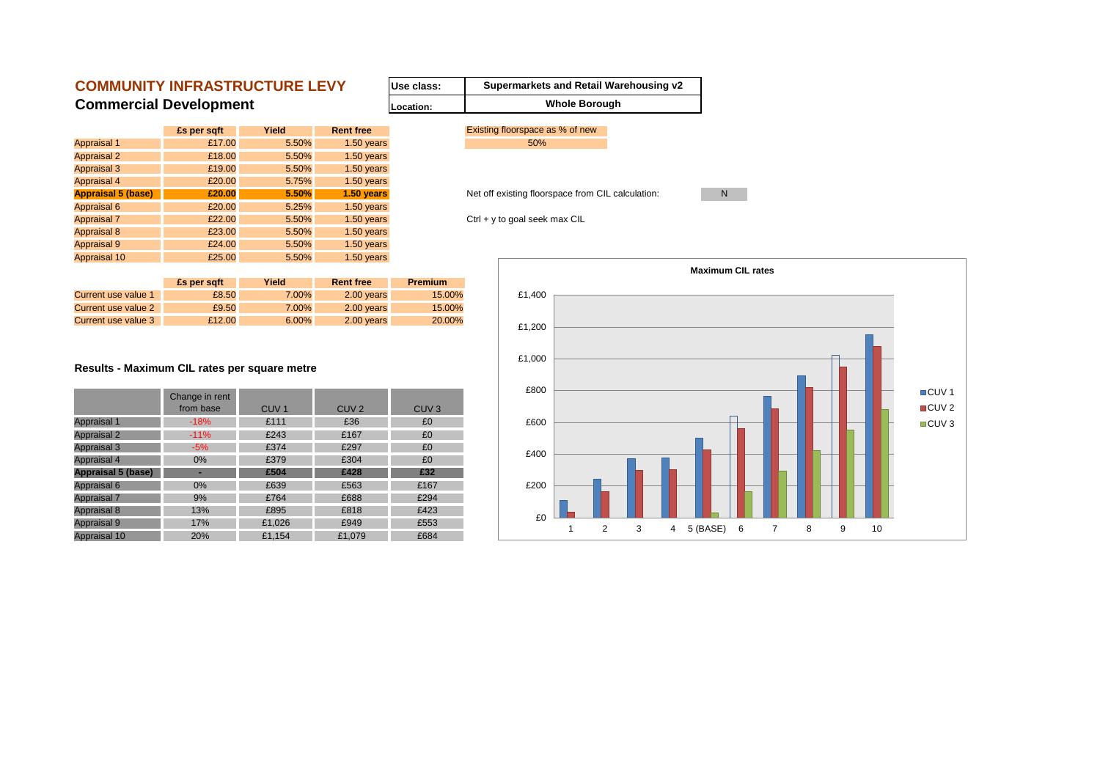# **COMMUNITY INFRASTRUCTURE LEVY Commercial Development**



 $Ctrl + y$  to goal seek max CIL

|                           | £s per sqft | <b>Yield</b> | <b>Rent free</b> |
|---------------------------|-------------|--------------|------------------|
| <b>Appraisal 1</b>        | £17.00      | 5.50%        | 1.50 years       |
| <b>Appraisal 2</b>        | £18.00      | 5.50%        | $1.50$ years     |
| <b>Appraisal 3</b>        | £19.00      | 5.50%        | $1.50$ years     |
| <b>Appraisal 4</b>        | £20.00      | 5.75%        | 1.50 years       |
| <b>Appraisal 5 (base)</b> | £20.00      | 5.50%        | 1.50 years       |
| <b>Appraisal 6</b>        | £20.00      | 5.25%        | $1.50$ years     |
| <b>Appraisal 7</b>        | £22.00      | 5.50%        | 1.50 years       |
| <b>Appraisal 8</b>        | £23.00      | 5.50%        | $1.50$ years     |
| <b>Appraisal 9</b>        | £24.00      | 5.50%        | $1.50$ years     |
| <b>Appraisal 10</b>       | £25.00      | 5.50%        | $1.50$ years     |

#### **Results - Maximum CIL rates per square metre**



|                     | <b>Es per sgft</b> | Yield    | <b>Rent free</b> | <b>Premium</b> |
|---------------------|--------------------|----------|------------------|----------------|
| Current use value 1 | £8.50              | 7.00%    | 2.00 years       | 15.00%         |
| Current use value 2 | £9.50              | 7.00%    | 2.00 years       | 15.00%         |
| Current use value 3 | £12.00             | $6.00\%$ | 2.00 years       | 20.00%         |
|                     |                    |          |                  |                |

|                           | Change in rent<br>from base | CUV <sub>1</sub> | CUV <sub>2</sub> | CUV <sub>3</sub> | £800 |
|---------------------------|-----------------------------|------------------|------------------|------------------|------|
| <b>Appraisal 1</b>        | $-18%$                      | £111             | £36              | £0               | £600 |
|                           |                             |                  |                  |                  |      |
| <b>Appraisal 2</b>        | $-11%$                      | £243             | £167             | £0               |      |
| <b>Appraisal 3</b>        | $-5%$                       | £374             | £297             | £0               | £400 |
| Appraisal 4               | $0\%$                       | £379             | £304             | £0               |      |
| <b>Appraisal 5 (base)</b> |                             | £504             | £428             | £32              |      |
| Appraisal 6               | $0\%$                       | £639             | £563             | £167             | £200 |
| Appraisal 7               | 9%                          | £764             | £688             | £294             |      |
| Appraisal 8               | 13%                         | £895             | £818             | £423             |      |
| Appraisal 9               | 17%                         | £1,026           | £949             | £553             | £0   |
| Appraisal 10              | 20%                         | £1,154           | £1,079           | £684             |      |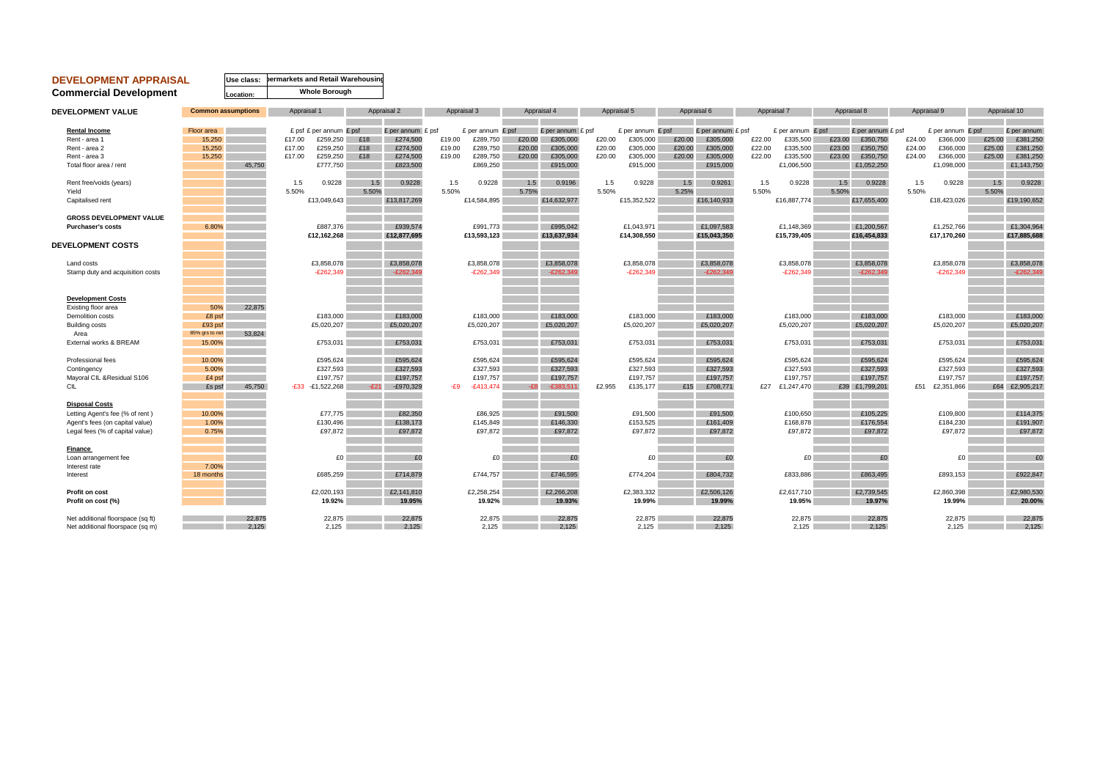### **DEVELOPMENT APPRAISAL Commercial Development**

## **Use class: permarkets and Retail Warehousing Location: Whole Borough**

| <b>DEVELOPMENT VALUE</b>          | <b>Common assumptions</b> |        | Appraisal 1 |                         |        | Appraisal 2       | Appraisal 3 |                   |        | Appraisal 4         |        | Appraisal 5       |        | Appraisal 6       |        | Appraisal 7           |        | Appraisal 8       | Appraisal 9 |                   | Appraisal 10 |             |
|-----------------------------------|---------------------------|--------|-------------|-------------------------|--------|-------------------|-------------|-------------------|--------|---------------------|--------|-------------------|--------|-------------------|--------|-----------------------|--------|-------------------|-------------|-------------------|--------------|-------------|
| <b>Rental Income</b>              | Floor area                |        |             | £ psf £ per annum £ psf |        | £ per annum £ psf |             | £ per annum £ psf |        | £ per annum $E$ psf |        | £ per annum £ psf |        | £ per annum £ psf |        | $£$ per annum $£$ psf |        | £ per annum £ psf |             | £ per annum £ psf |              | £ per annum |
| Rent - area 1                     | 15,250                    |        | £17.00      | £259,250                | £18    | £274,500          | £19.00      | £289,750          | £20.00 | £305,000            | £20.00 | £305,000          | £20.00 | £305,000          | £22.00 | £335,500              | £23.00 | £350,750          | £24.00      | £366,000          | £25.00       | £381,250    |
| Rent - area 2                     | 15,250                    |        | £17.00      | £259,250                | £18    | £274,500          | £19.00      | £289,750          | £20.00 | £305,000            | £20.00 | £305,000          | £20.00 | £305,000          | £22.00 | £335,500              | £23.00 | £350,750          | £24.00      | £366,000          | £25.00       | £381,250    |
| Rent - area 3                     | 15,250                    |        | £17.00      | £259,250                | £18    | £274,500          | £19.00      | £289,750          | £20.00 | £305,000            | £20.00 | £305,000          | £20.00 | £305,000          | £22.00 | £335,500              | £23.00 | £350,750          | £24.00      | £366,000          | £25.00       | £381,250    |
| Total floor area / rent           |                           | 45,750 |             | £777,750                |        | £823,500          |             | £869,250          |        | £915,000            |        | £915,000          |        | £915,000          |        | £1,006,500            |        | £1,052,250        |             | £1,098,000        |              | £1,143,750  |
|                                   |                           |        |             |                         |        |                   |             |                   |        |                     |        |                   |        |                   |        |                       |        |                   |             |                   |              |             |
| Rent free/voids (years)           |                           |        | 1.5         | 0.9228                  | 1.5    | 0.9228            | 1.5         | 0.9228            | 1.5    | 0.9196              | 1.5    | 0.9228            | 1.5    | 0.9261            | 1.5    | 0.9228                | 1.5    | 0.9228            | 1.5         | 0.9228            | 1.5          | 0.9228      |
| Yield                             |                           |        | 5.50%       |                         | 5.50%  |                   | 5.50%       |                   | 5.75%  |                     | 5.50%  |                   | 5.25%  |                   | 5.50%  |                       | 5.50%  |                   | 5.50%       |                   | 5.50%        |             |
| Capitalised rent                  |                           |        |             | £13,049,643             |        | £13,817,269       |             | £14,584,895       |        | £14,632,977         |        | £15,352,522       |        | £16,140,933       |        | £16,887,774           |        | £17,655,400       |             | £18,423,026       |              | £19,190,652 |
|                                   |                           |        |             |                         |        |                   |             |                   |        |                     |        |                   |        |                   |        |                       |        |                   |             |                   |              |             |
| <b>GROSS DEVELOPMENT VALUE</b>    |                           |        |             |                         |        |                   |             |                   |        |                     |        |                   |        |                   |        |                       |        |                   |             |                   |              |             |
| <b>Purchaser's costs</b>          | 6.80%                     |        |             | £887,376                |        | £939,574          |             | £991,773          |        | £995,042            |        | £1,043,971        |        | £1,097,583        |        | £1,148,369            |        | £1,200,567        |             | £1,252,766        |              | £1,304,964  |
|                                   |                           |        |             | £12,162,268             |        | £12,877,695       |             | £13,593,123       |        | £13,637,934         |        | £14,308,550       |        | £15,043,350       |        | £15,739,405           |        | £16,454,833       |             | £17,170,260       |              | £17,885,688 |
| <b>DEVELOPMENT COSTS</b>          |                           |        |             |                         |        |                   |             |                   |        |                     |        |                   |        |                   |        |                       |        |                   |             |                   |              |             |
|                                   |                           |        |             |                         |        |                   |             |                   |        |                     |        |                   |        |                   |        |                       |        |                   |             |                   |              |             |
| Land costs                        |                           |        |             | £3,858,078              |        | £3,858,078        |             | £3,858,078        |        | £3,858,078          |        | £3,858,078        |        | £3,858,078        |        | £3,858,078            |        | £3,858,078        |             | £3,858,078        |              | £3,858,078  |
| Stamp duty and acquisition costs  |                           |        |             | $-E262,349$             |        | $-E262.349$       |             | $-E262,349$       |        | $-E262.349$         |        | $-E262,349$       |        | $-E262,349$       |        | $-E262,349$           |        | $-E262,349$       |             | $-E262,349$       |              | $-E262.349$ |
|                                   |                           |        |             |                         |        |                   |             |                   |        |                     |        |                   |        |                   |        |                       |        |                   |             |                   |              |             |
|                                   |                           |        |             |                         |        |                   |             |                   |        |                     |        |                   |        |                   |        |                       |        |                   |             |                   |              |             |
| <b>Development Costs</b>          |                           |        |             |                         |        |                   |             |                   |        |                     |        |                   |        |                   |        |                       |        |                   |             |                   |              |             |
| Existing floor area               | 50%                       | 22,875 |             |                         |        |                   |             |                   |        |                     |        |                   |        |                   |        |                       |        |                   |             |                   |              |             |
| <b>Demolition costs</b>           | £8 psf                    |        |             | £183,000                |        | £183,000          |             | £183,000          |        | £183,000            |        | £183,000          |        | £183,000          |        | £183,000              |        | £183,000          |             | £183,000          |              | £183,000    |
| <b>Building costs</b>             | £93 psf                   |        |             | £5,020,207              |        | £5,020,207        |             | £5,020,207        |        | £5,020,207          |        | £5,020,207        |        | £5,020,207        |        | £5,020,207            |        | £5,020,207        |             | £5,020,207        |              | £5,020,207  |
| Area                              | 85% grs to net            | 53,824 |             |                         |        |                   |             |                   |        |                     |        |                   |        |                   |        |                       |        |                   |             |                   |              |             |
| External works & BREAM            | 15.00%                    |        |             | £753,031                |        | £753,031          |             | £753,031          |        | £753,031            |        | £753,031          |        | £753,031          |        | £753,031              |        | £753,031          |             | £753,031          |              | £753,031    |
|                                   |                           |        |             |                         |        |                   |             |                   |        |                     |        |                   |        |                   |        |                       |        |                   |             |                   |              |             |
| Professional fees                 | 10.00%                    |        |             | £595,624                |        | £595,624          |             | £595,624          |        | £595,624            |        | £595,624          |        | £595,624          |        | £595,624              |        | £595,624          |             | £595,624          |              | £595,624    |
| Contingency                       | 5.00%                     |        |             | £327,593                |        | £327,593          |             | £327,593          |        | £327,593            |        | £327,593          |        | £327,593          |        | £327,593              |        | £327,593          |             | £327,593          |              | £327,593    |
| Mayoral CIL & Residual S106       | £4 psf                    |        |             | £197,757                |        | £197,757          |             | £197,757          |        | £197,757            |        | £197,757          |        | £197,757          |        | £197,757              |        | £197,757          |             | £197,757          |              | £197,757    |
| CIL                               | £s psf                    | 45,750 |             | $-E33 - E1,522,268$     | $-E21$ | -£970,329         | $-E9$       | $-E413,474$       | $-E8$  | -£383.511           | £2.955 | £135,177          | £15    | £708,771          |        | £27 £1,247,470        |        | £39 £1,799,201    | £51         | £2,351,866        | £64          | £2,905,217  |
|                                   |                           |        |             |                         |        |                   |             |                   |        |                     |        |                   |        |                   |        |                       |        |                   |             |                   |              |             |
| <b>Disposal Costs</b>             |                           |        |             |                         |        |                   |             |                   |        |                     |        |                   |        |                   |        |                       |        |                   |             |                   |              |             |
| Letting Agent's fee (% of rent)   | 10.00%                    |        |             | £77.775                 |        | £82,350           |             | £86.925           |        | £91.500             |        | £91,500           |        | £91,500           |        | £100.650              |        | £105,225          |             | £109,800          |              | £114,375    |
| Agent's fees (on capital value)   | 1.00%                     |        |             | £130,496                |        | £138,173          |             | £145,849          |        | £146,330            |        | £153,525          |        | £161,409          |        | £168,878              |        | £176,554          |             | £184,230          |              | £191,907    |
| Legal fees (% of capital value)   | 0.75%                     |        |             | £97,872                 |        | £97,872           |             | £97,872           |        | £97,872             |        | £97,872           |        | £97,872           |        | £97,872               |        | £97,872           |             | £97,872           |              | £97,872     |
|                                   |                           |        |             |                         |        |                   |             |                   |        |                     |        |                   |        |                   |        |                       |        |                   |             |                   |              |             |
| Finance                           |                           |        |             |                         |        |                   |             |                   |        |                     |        |                   |        |                   |        |                       |        |                   |             |                   |              |             |
| Loan arrangement fee              |                           |        |             | £0                      |        | E(                |             | £0                |        | f()                 |        | £0                |        | £0                |        | £0                    |        | £0                |             | £0                |              | £0          |
| Interest rate                     | 7.00%                     |        |             |                         |        |                   |             |                   |        |                     |        |                   |        |                   |        |                       |        |                   |             |                   |              |             |
| Interest                          | 18 months                 |        |             | £685,259                |        | £714,879          |             | £744,757          |        | £746,595            |        | £774,204          |        | £804,732          |        | £833,886              |        | £863,495          |             | £893,153          |              | £922,847    |
|                                   |                           |        |             |                         |        |                   |             |                   |        |                     |        |                   |        |                   |        |                       |        |                   |             |                   |              |             |
| Profit on cost                    |                           |        |             | £2,020,193              |        | £2,141,810        |             | £2,258,254        |        | £2,266,208          |        | £2,383,332        |        | £2,506,126        |        | £2,617,710            |        | £2,739,545        |             | £2,860,398        |              | £2,980,530  |
| Profit on cost (%)                |                           |        |             | 19.92%                  |        | 19.95%            |             | 19.92%            |        | 19.93%              |        | 19.99%            |        | 19.99%            |        | 19.95%                |        | 19.97%            |             | 19.99%            |              | 20.00%      |
|                                   |                           |        |             |                         |        |                   |             |                   |        |                     |        |                   |        |                   |        |                       |        |                   |             |                   |              |             |
| Net additional floorspace (sq ft) |                           | 22.875 |             | 22,875                  |        | 22.875            |             | 22.875            |        | 22.875              |        | 22,875            |        | 22.875            |        | 22,875                |        | 22.875            |             | 22.875            |              | 22.875      |
| Net additional floorspace (sq m)  |                           | 2.125  |             | 2,125                   |        | 2.125             |             | 2,125             |        | 2.125               |        | 2,125             |        | 2.125             |        | 2,125                 |        | 2.125             |             | 2,125             |              | 2,125       |
|                                   |                           |        |             |                         |        |                   |             |                   |        |                     |        |                   |        |                   |        |                       |        |                   |             |                   |              |             |